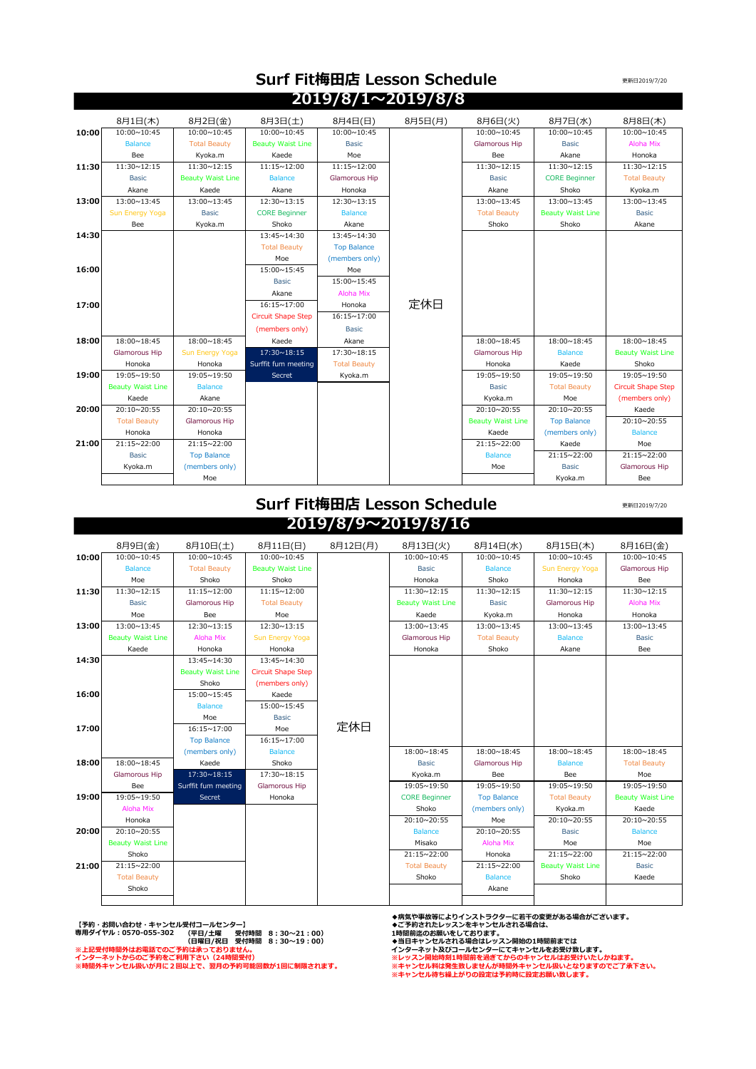| 2019/8/1~2019/8/8 |                          |                          |                           |                     |         |                          |                          |                           |
|-------------------|--------------------------|--------------------------|---------------------------|---------------------|---------|--------------------------|--------------------------|---------------------------|
|                   | 8月1日(木)                  | 8月2日(金)                  | 8月3日(土)                   | 8月4日(日)             | 8月5日(月) | 8月6日(火)                  | 8月7日(水)                  | 8月8日(木)                   |
| 10:00             | 10:00~10:45              | 10:00~10:45              | 10:00~10:45               | 10:00~10:45         |         | 10:00~10:45              | 10:00~10:45              | 10:00~10:45               |
|                   | <b>Balance</b>           | <b>Total Beauty</b>      | <b>Beauty Waist Line</b>  | <b>Basic</b>        |         | Glamorous Hip            | <b>Basic</b>             | Aloha Mix                 |
|                   | Bee                      | Kyoka.m                  | Kaede                     | Moe                 |         | Bee                      | Akane                    | Honoka                    |
| 11:30             | 11:30~12:15              | 11:30~12:15              | 11:15~12:00               | 11:15~12:00         |         | 11:30~12:15              | 11:30~12:15              | 11:30~12:15               |
|                   | <b>Basic</b>             | <b>Beauty Waist Line</b> | <b>Balance</b>            | Glamorous Hip       |         | <b>Basic</b>             | <b>CORE Beginner</b>     | <b>Total Beauty</b>       |
|                   | Akane                    | Kaede                    | Akane                     | Honoka              |         | Akane                    | Shoko                    | Kyoka.m                   |
| 13:00             | 13:00~13:45              | 13:00~13:45              | 12:30~13:15               | 12:30~13:15         |         | 13:00~13:45              | 13:00~13:45              | 13:00~13:45               |
|                   | Sun Energy Yoga          | <b>Basic</b>             | <b>CORE Beginner</b>      | <b>Balance</b>      |         | <b>Total Beauty</b>      | <b>Beauty Waist Line</b> | <b>Basic</b>              |
|                   | Bee                      | Kyoka.m                  | Shoko                     | Akane               |         | Shoko                    | Shoko                    | Akane                     |
| 14:30             |                          |                          | 13:45~14:30               | 13:45~14:30         |         |                          |                          |                           |
|                   |                          |                          | <b>Total Beauty</b>       | <b>Top Balance</b>  |         |                          |                          |                           |
|                   |                          |                          | Moe                       | (members only)      |         |                          |                          |                           |
| 16:00             |                          |                          | 15:00~15:45               | Moe                 |         |                          |                          |                           |
|                   |                          |                          | <b>Basic</b>              | 15:00~15:45         |         |                          |                          |                           |
|                   |                          |                          | Akane                     | Aloha Mix           |         |                          |                          |                           |
| 17:00             |                          |                          | 16:15~17:00               | Honoka              | 定休日     |                          |                          |                           |
|                   |                          |                          | <b>Circuit Shape Step</b> | 16:15~17:00         |         |                          |                          |                           |
|                   |                          |                          | (members only)            | <b>Basic</b>        |         |                          |                          |                           |
| 18:00             | 18:00~18:45              | 18:00~18:45              | Kaede                     | Akane               |         | 18:00~18:45              | 18:00~18:45              | 18:00~18:45               |
|                   | <b>Glamorous Hip</b>     | Sun Energy Yoga          | 17:30~18:15               | 17:30~18:15         |         | <b>Glamorous Hip</b>     | <b>Balance</b>           | <b>Beauty Waist Line</b>  |
|                   | Honoka                   | Honoka                   | Surffit fum meeting       | <b>Total Beauty</b> |         | Honoka                   | Kaede                    | Shoko                     |
| 19:00             | 19:05~19:50              | 19:05~19:50              | Secret                    | Kyoka.m             |         | 19:05~19:50              | 19:05~19:50              | 19:05~19:50               |
|                   | <b>Beauty Waist Line</b> | <b>Balance</b>           |                           |                     |         | <b>Basic</b>             | <b>Total Beauty</b>      | <b>Circuit Shape Step</b> |
|                   | Kaede                    | Akane                    |                           |                     |         | Kyoka.m                  | Moe                      | (members only)            |
| 20:00             | 20:10~20:55              | 20:10~20:55              |                           |                     |         | 20:10~20:55              | 20:10~20:55              | Kaede                     |
|                   | <b>Total Beauty</b>      | Glamorous Hip            |                           |                     |         | <b>Beauty Waist Line</b> | <b>Top Balance</b>       | 20:10~20:55               |
|                   | Honoka                   | Honoka                   |                           |                     |         | Kaede                    | (members only)           | <b>Balance</b>            |
| 21:00             | 21:15~22:00              | 21:15~22:00              |                           |                     |         | 21:15~22:00              | Kaede                    | Moe                       |
|                   | <b>Basic</b>             | <b>Top Balance</b>       |                           |                     |         | <b>Balance</b>           | 21:15~22:00              | 21:15~22:00               |
|                   | Kyoka.m                  | (members only)           |                           |                     |         | Moe                      | <b>Basic</b>             | Glamorous Hip             |
|                   |                          | Moe                      |                           |                     |         |                          | Kyoka.m                  | Bee                       |

## **Surf Fit梅田店 Lesson Schedule 2019/8/1~2019/8/8**

## **Surf Fit梅田店 Lesson Schedule 2019/8/9~2019/8/16**

更新日2019/7/20

更新日2019/7/20

|       | 8月9日(金)                  | 8月10日(土)                 | 8月11日(日)                  | 8月12日(月) | 8月13日(火)                 | 8月14日(水)            | 8月15日(木)                 | 8月16日(金)                 |
|-------|--------------------------|--------------------------|---------------------------|----------|--------------------------|---------------------|--------------------------|--------------------------|
| 10:00 | 10:00~10:45              | 10:00~10:45              | 10:00~10:45               |          | 10:00~10:45              | 10:00~10:45         | 10:00~10:45              | 10:00~10:45              |
|       | <b>Balance</b>           | <b>Total Beauty</b>      | <b>Beauty Waist Line</b>  |          | <b>Basic</b>             | <b>Balance</b>      | Sun Energy Yoga          | Glamorous Hip            |
|       | Moe                      | Shoko                    | Shoko                     |          | Honoka                   | Shoko               | Honoka                   | Bee                      |
| 11:30 | 11:30~12:15              | 11:15~12:00              | 11:15~12:00               |          | 11:30~12:15              | 11:30~12:15         | 11:30~12:15              | 11:30~12:15              |
|       | <b>Basic</b>             | Glamorous Hip            | <b>Total Beauty</b>       |          | <b>Beauty Waist Line</b> | <b>Basic</b>        | Glamorous Hip            | Aloha Mix                |
|       | Moe                      | Bee                      | Moe                       |          | Kaede                    | Kyoka.m             | Honoka                   | Honoka                   |
| 13:00 | 13:00~13:45              | 12:30~13:15              | 12:30~13:15               |          | 13:00~13:45              | 13:00~13:45         | 13:00~13:45              | 13:00~13:45              |
|       | <b>Beauty Waist Line</b> | Aloha Mix                | Sun Energy Yoga           |          | Glamorous Hip            | <b>Total Beauty</b> | <b>Balance</b>           | <b>Basic</b>             |
|       | Kaede                    | Honoka                   | Honoka                    |          | Honoka                   | Shoko               | Akane                    | Bee                      |
| 14:30 |                          | 13:45~14:30              | 13:45~14:30               |          |                          |                     |                          |                          |
|       |                          | <b>Beauty Waist Line</b> | <b>Circuit Shape Step</b> |          |                          |                     |                          |                          |
|       |                          | Shoko                    | (members only)            |          |                          |                     |                          |                          |
| 16:00 |                          | 15:00~15:45              | Kaede                     |          |                          |                     |                          |                          |
|       |                          | <b>Balance</b>           | 15:00~15:45               |          |                          |                     |                          |                          |
|       |                          | Moe                      | <b>Basic</b>              |          |                          |                     |                          |                          |
| 17:00 |                          | 16:15~17:00              | Moe                       | 定休日      |                          |                     |                          |                          |
|       |                          | <b>Top Balance</b>       | 16:15~17:00               |          |                          |                     |                          |                          |
|       |                          | (members only)           | <b>Balance</b>            |          | 18:00~18:45              | 18:00~18:45         | 18:00~18:45              | 18:00~18:45              |
| 18:00 | 18:00~18:45              | Kaede                    | Shoko                     |          | <b>Basic</b>             | Glamorous Hip       | <b>Balance</b>           | <b>Total Beauty</b>      |
|       | Glamorous Hip            | 17:30~18:15              | 17:30~18:15               |          | Kyoka.m                  | Bee                 | Bee                      | Moe                      |
|       | Bee                      | Surffit fum meeting      | Glamorous Hip             |          | 19:05~19:50              | 19:05~19:50         | 19:05~19:50              | 19:05~19:50              |
| 19:00 | 19:05~19:50              | Secret                   | Honoka                    |          | <b>CORE Beginner</b>     | <b>Top Balance</b>  | <b>Total Beauty</b>      | <b>Beauty Waist Line</b> |
|       | Aloha Mix                |                          |                           |          | Shoko                    | (members only)      | Kyoka.m                  | Kaede                    |
|       | Honoka                   |                          |                           |          | 20:10~20:55              | Moe                 | 20:10~20:55              | 20:10~20:55              |
| 20:00 | 20:10~20:55              |                          |                           |          | <b>Balance</b>           | 20:10~20:55         | <b>Basic</b>             | <b>Balance</b>           |
|       | <b>Beauty Waist Line</b> |                          |                           |          | Misako                   | Aloha Mix           | Moe                      | Moe                      |
|       | Shoko                    |                          |                           |          | 21:15~22:00              | Honoka              | 21:15~22:00              | 21:15~22:00              |
| 21:00 | 21:15~22:00              |                          |                           |          | <b>Total Beauty</b>      | 21:15~22:00         | <b>Beauty Waist Line</b> | <b>Basic</b>             |
|       | <b>Total Beauty</b>      |                          |                           |          | Shoko                    | <b>Balance</b>      | Shoko                    | Kaede                    |
|       | Shoko                    |                          |                           |          |                          | Akane               |                          |                          |
|       |                          |                          |                           |          |                          |                     |                          |                          |

【予約・お問い合わせ・キャンセル受付コールセンター】<br>専用ダイヤル : 0570-055-302 (平日/土曜 受付時間 8 : 30~21 : 00) 1時間前迄のお願いをしております。<br>●当日キャンセルされる場合は、 (日曜日/祝日 受付時間 8 : 30~19 : 00) ◆当日キャンセルされる場合はレッスン開始の1時間前までは **※上記受付時間外はお電話でのご予約は承っておりません。 インターネット及びコールセンターにてキャンセルをお受け致します。 インターネットからのご予約をご利用下さい(24時間受付) ※レッスン開始時刻1時間前を過ぎてからのキャンセルはお受けいたしかねます。**

**◆病気や事故等によりインストラクターに若干の変更がある場合がございます。**

**※時間外キャンセル扱いが月に2回以上で、翌月の予約可能回数が1回に制限されます。 ※キャンセル料は発生致しませんが時間外キャンセル扱いとなりますのでご了承下さい。 ※キャンセル待ち繰上がりの設定は予約時に設定お願い致します。**